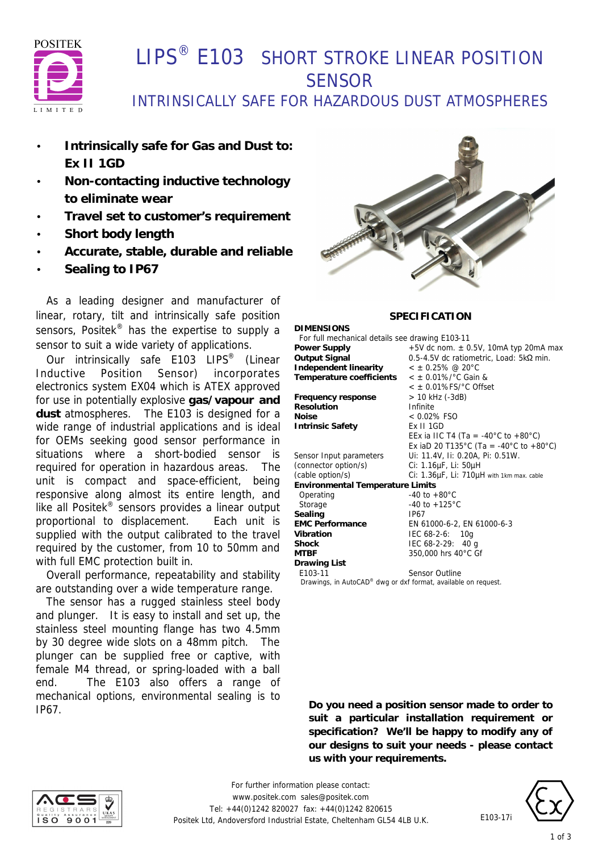

# LIPS<sup>®</sup> E103 SHORT STROKE LINEAR POSITION **SENSOR**

## INTRINSICALLY SAFE FOR HAZARDOUS DUST ATMOSPHERES

- **Intrinsically safe for Gas and Dust to: Ex II 1GD**
- **Non-contacting inductive technology to eliminate wear**
- **Travel set to customer's requirement**
- **Short body length**
- **Accurate, stable, durable and reliable**
- **Sealing to IP67**

 As a leading designer and manufacturer of linear, rotary, tilt and intrinsically safe position sensors, Positek<sup>®</sup> has the expertise to supply a sensor to suit a wide variety of applications.

Our intrinsically safe E103 LIPS<sup>®</sup> (Linear Inductive Position Sensor) incorporates electronics system EX04 which is ATEX approved for use in potentially explosive **gas/vapour and dust** atmospheres. The E103 is designed for a wide range of industrial applications and is ideal for OEMs seeking good sensor performance in situations where a short-bodied sensor is required for operation in hazardous areas. The unit is compact and space-efficient, being responsive along almost its entire length, and like all Positek® sensors provides a linear output proportional to displacement. Each unit is supplied with the output calibrated to the travel required by the customer, from 10 to 50mm and with full EMC protection built in.

 Overall performance, repeatability and stability are outstanding over a wide temperature range.

 The sensor has a rugged stainless steel body and plunger. It is easy to install and set up, the stainless steel mounting flange has two 4.5mm by 30 degree wide slots on a 48mm pitch. The plunger can be supplied free or captive, with female M4 thread, or spring-loaded with a ball end. The E103 also offers a range of mechanical options, environmental sealing is to IP67.



### **SPECIFICATION**

**DIMENSIONS** For full mechanical details see drawing E103-11<br>Power Supply  $+5V$  dc nom.  $\pm 0$ **Power Supply** +5V dc nom. ± 0.5V, 10mA typ 20mA max **Output Signal** 0.5-4.5V dc ratiometric, Load: 5kΩ min. **Independent linearity** < ± 0.25% @ 20°C **Temperature coefficients** < ± 0.01%/°C Gain & < ± 0.01%FS/°C Offset **Frequency response** > 10 kHz (-3dB) **Resolution** Infinite **Noise** < 0.02% FSO **Intrinsic Safety** Ex II 1GD EEx ia IIC T4 (Ta = -40°C to +80°C) Ex iaD 20 T135°C (Ta = -40°C to +80°C) Sensor Input parameters Ui: 11.4V, Ii: 0.20A, Pi: 0.51W. (connector option/s) Ci: 1.16µF, Li: 50µH (cable option/s) Ci: 1.36µF, Li: 710µH with 1km max. cable **Environmental Temperature Limits** Operating -40 to +80°C Storage -40 to +125 °C Sealing **IP67 EMC Performance** EN 61000-6-2, EN 61000-6-3 **Vibration** IEC 68-2-6: 10g **Shock** IEC 68-2-29: 40 g **MTBF** 350,000 hrs 40°C Gf **Drawing List** E103-11 Sensor Outline  *Drawings, in AutoCAD® dwg or dxf format, available on request.*

**Do you need a position sensor made to order to suit a particular installation requirement or specification? We'll be happy to modify any of our designs to suit your needs - please contact us with your requirements.**



*For further information please contact:* www.positek.com sales@positek.com Tel: +44(0)1242 820027 fax: +44(0)1242 820615 Positek Ltd, Andoversford Industrial Estate, Cheltenham GL54 4LB U.K.



E103-17i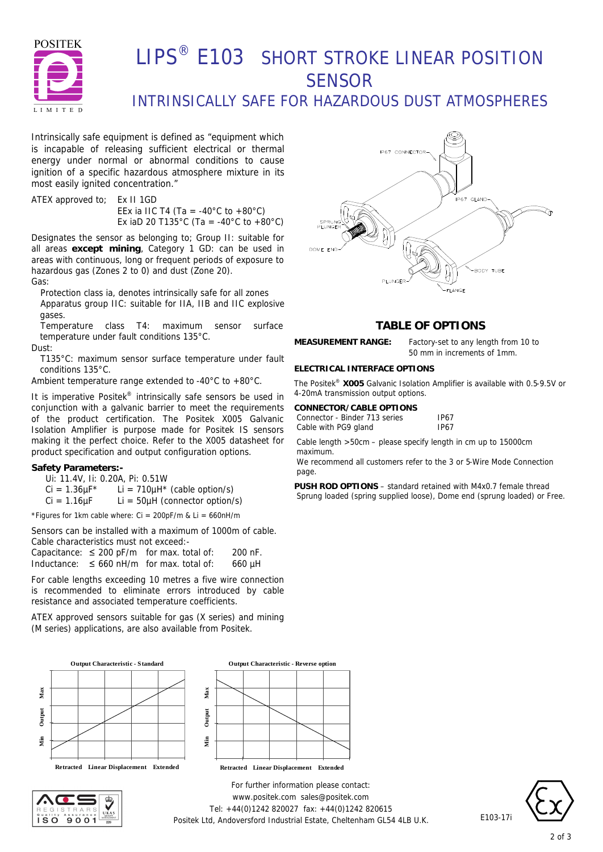

# LIPS<sup>®</sup> E103 SHORT STROKE LINEAR POSITION **SENSOR**

### INTRINSICALLY SAFE FOR HAZARDOUS DUST ATMOSPHERES

Intrinsically safe equipment is defined as *"equipment which is incapable of releasing sufficient electrical or thermal energy under normal or abnormal conditions to cause ignition of a specific hazardous atmosphere mixture in its most easily ignited concentration."*

ATEX approved to; Ex II 1GD EEx ia IIC T4 (Ta = -40 $^{\circ}$ C to +80 $^{\circ}$ C) Ex iaD 20 T135°C (Ta = -40°C to +80°C)

Designates the sensor as belonging to; Group II: suitable for all areas **except mining**, Category 1 GD: can be used in areas with continuous, long or frequent periods of exposure to hazardous gas (Zones 2 to 0) and dust (Zone 20).

Gas:

Protection class ia, denotes intrinsically safe for all zones Apparatus group IIC: suitable for IIA, IIB and IIC explosive gases.

Temperature class T4: maximum sensor surface temperature under fault conditions 135°C.

Dust:

T135°C: maximum sensor surface temperature under fault conditions 135°C.

Ambient temperature range extended to -40°C to +80°C.

It is imperative Positek® intrinsically safe sensors be used in conjunction with a galvanic barrier to meet the requirements of the product certification. The Positek X005 Galvanic Isolation Amplifier is purpose made for Positek IS sensors making it the perfect choice. Refer to the X005 datasheet for product specification and output configuration options.

#### **Safety Parameters:-**

Ui: 11.4V, Ii: 0.20A, Pi: 0.51W  $Ci = 1.36 \mu F^*$  Li = 710 $\mu$ H<sup>\*</sup> (cable option/s)  $Ci = 1.16 \mu F$  Li = 50 $\mu$ H (connector option/s)

\*Figures for 1km cable where:  $Ci = 200pF/m$  &  $Li = 660nH/m$ 

Sensors can be installed with a maximum of 1000m of cable. Cable characteristics must not exceed:-

Capacitance:  $\leq 200$  pF/m for max. total of: 200 nF. Inductance:  $\leq 660$  nH/m for max. total of: 660 µH

For cable lengths exceeding 10 metres a five wire connection is recommended to eliminate errors introduced by cable resistance and associated temperature coefficients.

ATEX approved sensors suitable for gas (X series) and mining (M series) applications, are also available from Positek.







*For further information please contact:* www.positek.com sales@positek.com Tel: +44(0)1242 820027 fax: +44(0)1242 820615 Positek Ltd, Andoversford Industrial Estate, Cheltenham GL54 4LB U.K.



### **TABLE OF OPTIONS**

**MEASUREMENT RANGE:** Factory-set to any length from 10 to 50 mm in increments of 1mm.

#### **ELECTRICAL INTERFACE OPTIONS**

The Positek® **X005** Galvanic Isolation Amplifier is available with 0.5-9.5V or 4-20mA transmission output options.

| CONNECTOR/CABLE OPTIONS       |             |
|-------------------------------|-------------|
| Connector - Binder 713 series | <b>IP67</b> |
| Cable with PG9 gland          | <b>IP67</b> |

Cable length >50cm – please specify length in cm up to 15000cm maximum.

We recommend all customers refer to the 3 or 5-Wire Mode Connection page.

**PUSH ROD OPTIONS** – standard retained with M4x0.7 female thread Sprung loaded (spring supplied loose), Dome end (sprung loaded) or Free.



E103-17i